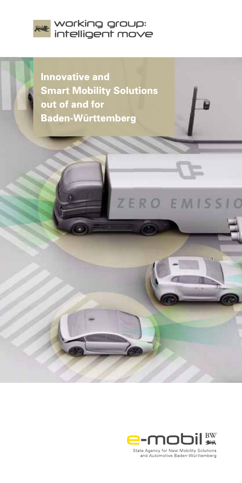

**Innovative and Smart Mobility Solutions** out of and for **Baden-Württemberg** 



ZERO EMISSIO

State Agency for New Mobility Solutions and Automotive Baden-Württemberg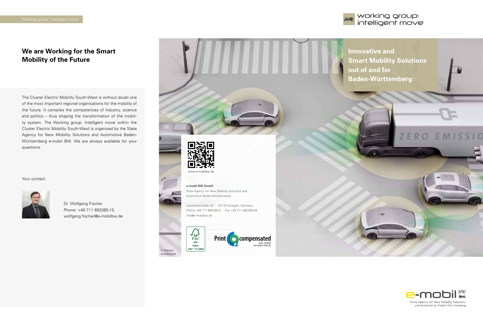

## **We are Working for the Smart Mobility of the Future**

The Cluster Electric Mobility South-West is without doubt one of the most important regional organisations for the mobility of the future. It compiles the competences of industry, science and politics – thus shaping the transformation of the mobility system. The Working group: Intelligent move within the Cluster Electric Mobility South-West is organised by the State Agency for New Mobility Solutions and Automotive Baden-Württemberg e-mobil BW. We are always available for your questions.

Your contact:



Dr. Wolfgang Fischer Phone: +49 711 892385-15 wolfgang.fischer@e-mobilbw.de

> © Chesky/ shutterstock